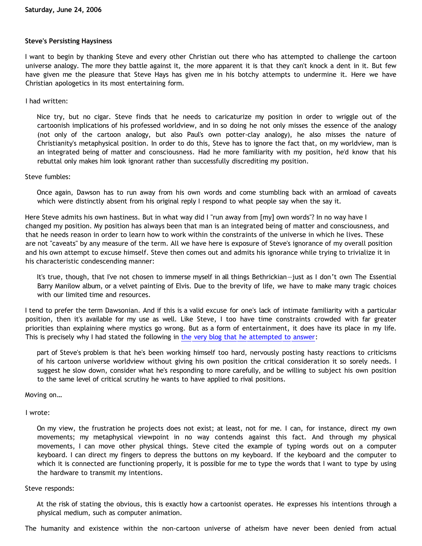### **Steve's Persisting Haysiness**

I want to begin by thanking Steve and every other Christian out there who has attempted to challenge the cartoon universe analogy. The more they battle against it, the more apparent it is that they can't knock a dent in it. But few have given me the pleasure that Steve Hays has given me in his botchy attempts to undermine it. Here we have Christian apologetics in its most entertaining form.

## I had written:

Nice try, but no cigar. Steve finds that he needs to caricaturize my position in order to wriggle out of the cartoonish implications of his professed worldview, and in so doing he not only misses the essence of the analogy (not only of the cartoon analogy, but also Paul's own potter-clay analogy), he also misses the nature of Christianity's metaphysical position. In order to do this, Steve has to ignore the fact that, on my worldview, man is an integrated being of matter and consciousness. Had he more familiarity with my position, he'd know that his rebuttal only makes him look ignorant rather than successfully discrediting my position.

### Steve fumbles:

Once again, Dawson has to run away from his own words and come stumbling back with an armload of caveats which were distinctly absent from his original reply I respond to what people say when the say it.

Here Steve admits his own hastiness. But in what way did I "run away from [my] own words"? In no way have I changed my position. My position has always been that man is an integrated being of matter and consciousness, and that he needs reason in order to learn how to work within the constraints of the universe in which he lives. These are not "caveats" by any measure of the term. All we have here is exposure of Steve's ignorance of my overall position and his own attempt to excuse himself. Steve then comes out and admits his ignorance while trying to trivialize it in his characteristic condescending manner:

It's true, though, that I've not chosen to immerse myself in all things Bethrickian—just as I don't own The Essential Barry Manilow album, or a velvet painting of Elvis. Due to the brevity of life, we have to make many tragic choices with our limited time and resources.

I tend to prefer the term Dawsonian. And if this is a valid excuse for one's lack of intimate familiarity with a particular position, then it's available for my use as well. Like Steve, I too have time constraints crowded with far greater priorities than explaining where mystics go wrong. But as a form of entertainment, it does have its place in my life. This is precisely why I had stated the following in [the very blog that he attempted to answer:](http://bahnsenburner.blogspot.com/2006/06/steves-hays-ty-reaction-to-cartoon.html)

part of Steve's problem is that he's been working himself too hard, nervously posting hasty reactions to criticisms of his cartoon universe worldview without giving his own position the critical consideration it so sorely needs. I suggest he slow down, consider what he's responding to more carefully, and be willing to subject his own position to the same level of critical scrutiny he wants to have applied to rival positions.

### Moving on…

I wrote:

On my view, the frustration he projects does not exist; at least, not for me. I can, for instance, direct my own movements; my metaphysical viewpoint in no way contends against this fact. And through my physical movements, I can move other physical things. Steve cited the example of typing words out on a computer keyboard. I can direct my fingers to depress the buttons on my keyboard. If the keyboard and the computer to which it is connected are functioning properly, it is possible for me to type the words that I want to type by using the hardware to transmit my intentions.

### Steve responds:

At the risk of stating the obvious, this is exactly how a cartoonist operates. He expresses his intentions through a physical medium, such as computer animation.

The humanity and existence within the non-cartoon universe of atheism have never been denied from actual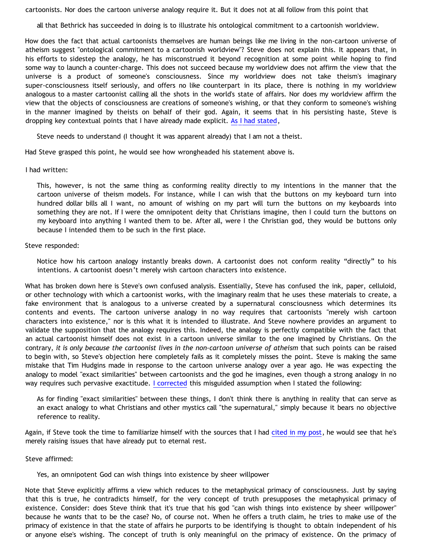cartoonists. Nor does the cartoon universe analogy require it. But it does not at all follow from this point that

all that Bethrick has succeeded in doing is to illustrate his ontological commitment to a cartoonish worldview.

How does the fact that actual cartoonists themselves are human beings like me living in the non-cartoon universe of atheism suggest "ontological commitment to a cartoonish worldview"? Steve does not explain this. It appears that, in his efforts to sidestep the analogy, he has misconstrued it beyond recognition at some point while hoping to find some way to launch a counter-charge. This does not succeed because my worldview does not affirm the view that the universe is a product of someone's consciousness. Since my worldview does not take theism's imaginary super-consciousness itself seriously, and offers no like counterpart in its place, there is nothing in my worldview analogous to a master cartoonist calling all the shots in the world's state of affairs. Nor does my worldview affirm the view that the objects of consciousness are creations of someone's wishing, or that they conform to someone's wishing in the manner imagined by theists on behalf of their god. Again, it seems that in his persisting haste, Steve is dropping key contextual points that I have already made explicit. [As I had stated,](http://bahnsenburner.blogspot.com/2006/06/steves-hays-ty-reaction-to-cartoon.html)

Steve needs to understand (I thought it was apparent already) that I am not a theist.

Had Steve grasped this point, he would see how wrongheaded his statement above is.

#### I had written:

This, however, is not the same thing as conforming reality directly to my intentions in the manner that the cartoon universe of theism models. For instance, while I can wish that the buttons on my keyboard turn into hundred dollar bills all I want, no amount of wishing on my part will turn the buttons on my keyboards into something they are not. If I were the omnipotent deity that Christians imagine, then I could turn the buttons on my keyboard into anything I wanted them to be. After all, were I the Christian god, they would be buttons only because I intended them to be such in the first place.

#### Steve responded:

Notice how his cartoon analogy instantly breaks down. A cartoonist does not conform reality "directly" to his intentions. A cartoonist doesn't merely wish cartoon characters into existence.

What has broken down here is Steve's own confused analysis. Essentially, Steve has confused the ink, paper, celluloid, or other technology with which a cartoonist works, with the imaginary realm that he uses these materials to create, a fake environment that is analogous to a universe created by a supernatural consciousness which determines its contents and events. The cartoon universe analogy in no way requires that cartoonists "merely wish cartoon characters into existence," nor is this what it is intended to illustrate. And Steve nowhere provides an argument to validate the supposition that the analogy requires this. Indeed, the analogy is perfectly compatible with the fact that an actual cartoonist himself does not exist in a cartoon universe similar to the one imagined by Christians. On the contrary, *it is only because the cartoonist lives in the non-cartoon universe of atheism* that such points can be raised to begin with, so Steve's objection here completely fails as it completely misses the point. Steve is making the same mistake that Tim Hudgins made in response to the cartoon universe analogy over a year ago. He was expecting the analogy to model "exact similarities" between cartoonists and the god he imagines, even though a strong analogy in no way requires such pervasive exactitude. [I corrected](http://bahnsenburner.blogspot.com/2005/04/omnipotence-and-sovereignty-in-cartoon.html) this misguided assumption when I stated the following:

As for finding "exact similarities" between these things, I don't think there is anything in reality that can serve as an exact analogy to what Christians and other mystics call "the supernatural," simply because it bears no objective reference to reality.

Again, if Steve took the time to familiarize himself with the sources that I had [cited in my post,](http://bahnsenburner.blogspot.com/2006/06/steves-hays-ty-reaction-to-cartoon.html) he would see that he's merely raising issues that have already put to eternal rest.

Steve affirmed:

Yes, an omnipotent God can wish things into existence by sheer willpower

Note that Steve explicitly affirms a view which reduces to the metaphysical primacy of consciousness. Just by saying that this is true, he contradicts himself, for the very concept of truth presupposes the metaphysical primacy of existence. Consider: does Steve think that it's true that his god "can wish things into existence by sheer willpower" because he *wants* that to be the case? No, of course not. When he offers a truth claim, he tries to make use of the primacy of existence in that the state of affairs he purports to be identifying is thought to obtain independent of his or anyone else's wishing. The concept of truth is only meaningful on the primacy of existence. On the primacy of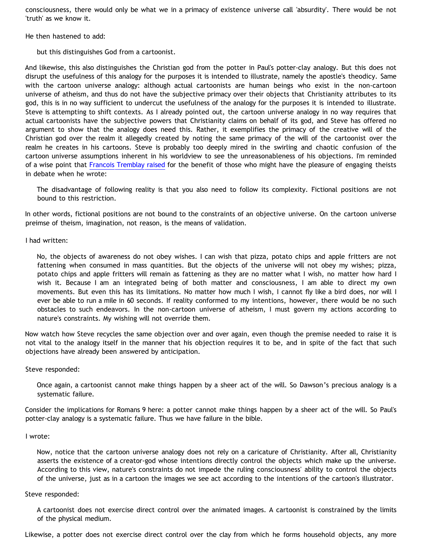consciousness, there would only be what we in a primacy of existence universe call 'absurdity'. There would be not 'truth' as we know it.

He then hastened to add:

but this distinguishes God from a cartoonist.

And likewise, this also distinguishes the Christian god from the potter in Paul's potter-clay analogy. But this does not disrupt the usefulness of this analogy for the purposes it is intended to illustrate, namely the apostle's theodicy. Same with the cartoon universe analogy: although actual cartoonists are human beings who exist in the non-cartoon universe of atheism, and thus do not have the subjective primacy over their objects that Christianity attributes to its god, this is in no way sufficient to undercut the usefulness of the analogy for the purposes it is intended to illustrate. Steve is attempting to shift contexts. As I already pointed out, the cartoon universe analogy in no way requires that actual cartoonists have the subjective powers that Christianity claims on behalf of its god, and Steve has offered no argument to show that the analogy does need this. Rather, it exemplifies the primacy of the creative will of the Christian god over the realm it allegedly created by noting the same primacy of the will of the cartoonist over the realm he creates in his cartoons. Steve is probably too deeply mired in the swirling and chaotic confusion of the cartoon universe assumptions inherent in his worldview to see the unreasonableness of his objections. I'm reminded of a wise point that [Francois Tremblay raised](http://www.objectivethought.com/apologetics/debateaxian.html) for the benefit of those who might have the pleasure of engaging theists in debate when he wrote:

The disadvantage of following reality is that you also need to follow its complexity. Fictional positions are not bound to this restriction.

In other words, fictional positions are not bound to the constraints of an objective universe. On the cartoon universe preimse of theism, imagination, not reason, is the means of validation.

I had written:

No, the objects of awareness do not obey wishes. I can wish that pizza, potato chips and apple fritters are not fattening when consumed in mass quantities. But the objects of the universe will not obey my wishes; pizza, potato chips and apple fritters will remain as fattening as they are no matter what I wish, no matter how hard I wish it. Because I am an integrated being of both matter and consciousness, I am able to direct my own movements. But even this has its limitations. No matter how much I wish, I cannot fly like a bird does, nor will I ever be able to run a mile in 60 seconds. If reality conformed to my intentions, however, there would be no such obstacles to such endeavors. In the non-cartoon universe of atheism, I must govern my actions according to nature's constraints. My wishing will not override them.

Now watch how Steve recycles the same objection over and over again, even though the premise needed to raise it is not vital to the analogy itself in the manner that his objection requires it to be, and in spite of the fact that such objections have already been answered by anticipation.

Steve responded:

Once again, a cartoonist cannot make things happen by a sheer act of the will. So Dawson's precious analogy is a systematic failure.

Consider the implications for Romans 9 here: a potter cannot make things happen by a sheer act of the will. So Paul's potter-clay analogy is a systematic failure. Thus we have failure in the bible.

I wrote:

Now, notice that the cartoon universe analogy does not rely on a caricature of Christianity. After all, Christianity asserts the existence of a creator-god whose intentions directly control the objects which make up the universe. According to this view, nature's constraints do not impede the ruling consciousness' ability to control the objects of the universe, just as in a cartoon the images we see act according to the intentions of the cartoon's illustrator.

### Steve responded:

A cartoonist does not exercise direct control over the animated images. A cartoonist is constrained by the limits of the physical medium.

Likewise, a potter does not exercise direct control over the clay from which he forms household objects, any more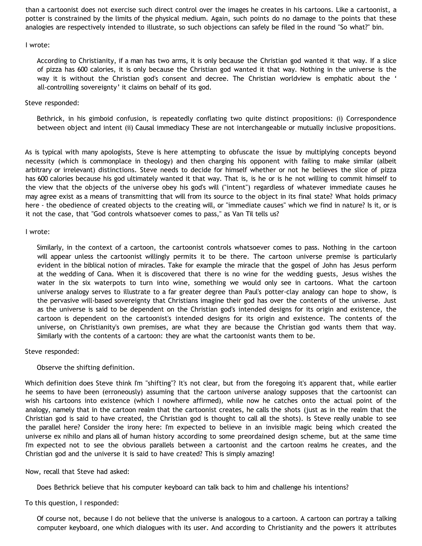than a cartoonist does not exercise such direct control over the images he creates in his cartoons. Like a cartoonist, a potter is constrained by the limits of the physical medium. Again, such points do no damage to the points that these analogies are respectively intended to illustrate, so such objections can safely be filed in the round "So what?" bin.

# I wrote:

According to Christianity, if a man has two arms, it is only because the Christian god wanted it that way. If a slice of pizza has 600 calories, it is only because the Christian god wanted it that way. Nothing in the universe is the way it is without the Christian god's consent and decree. The Christian worldview is emphatic about the ' all-controlling sovereignty' it claims on behalf of its god.

# Steve responded:

Bethrick, in his gimboid confusion, is repeatedly conflating two quite distinct propositions: (i) Correspondence between object and intent (ii) Causal immediacy These are not interchangeable or mutually inclusive propositions.

As is typical with many apologists, Steve is here attempting to obfuscate the issue by multiplying concepts beyond necessity (which is commonplace in theology) and then charging his opponent with failing to make similar (albeit arbitrary or irrelevant) distinctions. Steve needs to decide for himself whether or not he believes the slice of pizza has 600 calories because his god ultimately wanted it that way. That is, is he or is he not willing to commit himself to the view that the objects of the universe obey his god's will ("intent") regardless of whatever immediate causes he may agree exist as a means of transmitting that will from its source to the object in its final state? What holds primacy here - the obedience of created objects to the creating will, or "immediate causes" which we find in nature? Is it, or is it not the case, that "God controls whatsoever comes to pass," as Van Til tells us?

## I wrote:

Similarly, in the context of a cartoon, the cartoonist controls whatsoever comes to pass. Nothing in the cartoon will appear unless the cartoonist willingly permits it to be there. The cartoon universe premise is particularly evident in the biblical notion of miracles. Take for example the miracle that the gospel of John has Jesus perform at the wedding of Cana. When it is discovered that there is no wine for the wedding guests, Jesus wishes the water in the six waterpots to turn into wine, something we would only see in cartoons. What the cartoon universe analogy serves to illustrate to a far greater degree than Paul's potter-clay analogy can hope to show, is the pervasive will-based sovereignty that Christians imagine their god has over the contents of the universe. Just as the universe is said to be dependent on the Christian god's intended designs for its origin and existence, the cartoon is dependent on the cartoonist's intended designs for its origin and existence. The contents of the universe, on Christianity's own premises, are what they are because the Christian god wants them that way. Similarly with the contents of a cartoon: they are what the cartoonist wants them to be.

# Steve responded:

# Observe the shifting definition.

Which definition does Steve think I'm "shifting"? It's not clear, but from the foregoing it's apparent that, while earlier he seems to have been (erroneously) assuming that the cartoon universe analogy supposes that the cartoonist can wish his cartoons into existence (which I nowhere affirmed), while now he catches onto the actual point of the analogy, namely that in the cartoon realm that the cartoonist creates, he calls the shots (just as in the realm that the Christian god is said to have created, the Christian god is thought to call all the shots). Is Steve really unable to see the parallel here? Consider the irony here: I'm expected to believe in an invisible magic being which created the universe ex nihilo and plans all of human history according to some preordained design scheme, but at the same time I'm expected not to see the obvious parallels between a cartoonist and the cartoon realms he creates, and the Christian god and the universe it is said to have created? This is simply amazing!

### Now, recall that Steve had asked:

Does Bethrick believe that his computer keyboard can talk back to him and challenge his intentions?

To this question, I responded:

Of course not, because I do not believe that the universe is analogous to a cartoon. A cartoon can portray a talking computer keyboard, one which dialogues with its user. And according to Christianity and the powers it attributes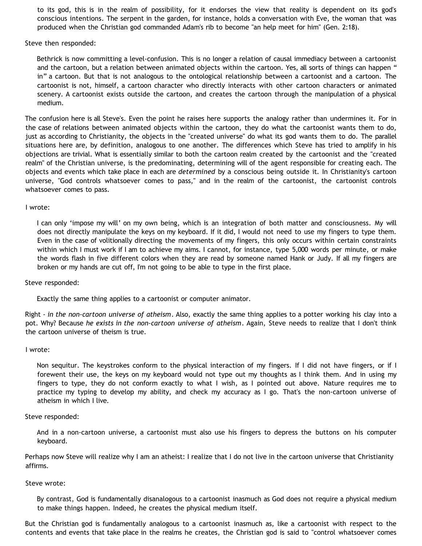to its god, this is in the realm of possibility, for it endorses the view that reality is dependent on its god's conscious intentions. The serpent in the garden, for instance, holds a conversation with Eve, the woman that was produced when the Christian god commanded Adam's rib to become "an help meet for him" (Gen. 2:18).

Steve then responded:

Bethrick is now committing a level-confusion. This is no longer a relation of causal immediacy between a cartoonist and the cartoon, but a relation between animated objects within the cartoon. Yes, all sorts of things can happen " in" a cartoon. But that is not analogous to the ontological relationship between a cartoonist and a cartoon. The cartoonist is not, himself, a cartoon character who directly interacts with other cartoon characters or animated scenery. A cartoonist exists outside the cartoon, and creates the cartoon through the manipulation of a physical medium.

The confusion here is all Steve's. Even the point he raises here supports the analogy rather than undermines it. For in the case of relations between animated objects within the cartoon, they do what the cartoonist wants them to do, just as according to Christianity, the objects in the "created universe" do what its god wants them to do. The parallel situations here are, by definition, analogous to one another. The differences which Steve has tried to amplify in his objections are trivial. What is essentially similar to both the cartoon realm created by the cartoonist and the "created realm" of the Christian universe, is the predominating, determining will of the agent responsible for creating each. The objects and events which take place in each are *determined* by a conscious being outside it. In Christianity's cartoon universe, "God controls whatsoever comes to pass," and in the realm of the cartoonist, the cartoonist controls whatsoever comes to pass.

#### I wrote:

I can only 'impose my will' on my own being, which is an integration of both matter and consciousness. My will does not directly manipulate the keys on my keyboard. If it did, I would not need to use my fingers to type them. Even in the case of volitionally directing the movements of my fingers, this only occurs within certain constraints within which I must work if I am to achieve my aims. I cannot, for instance, type 5,000 words per minute, or make the words flash in five different colors when they are read by someone named Hank or Judy. If all my fingers are broken or my hands are cut off, I'm not going to be able to type in the first place.

Steve responded:

Exactly the same thing applies to a cartoonist or computer animator.

Right - *in the non-cartoon universe of atheism*. Also, exactly the same thing applies to a potter working his clay into a pot. Why? Because *he exists in the non-cartoon universe of atheism*. Again, Steve needs to realize that I don't think the cartoon universe of theism is true.

#### I wrote:

Non sequitur. The keystrokes conform to the physical interaction of my fingers. If I did not have fingers, or if I forewent their use, the keys on my keyboard would not type out my thoughts as I think them. And in using my fingers to type, they do not conform exactly to what I wish, as I pointed out above. Nature requires me to practice my typing to develop my ability, and check my accuracy as I go. That's the non-cartoon universe of atheism in which I live.

Steve responded:

And in a non-cartoon universe, a cartoonist must also use his fingers to depress the buttons on his computer keyboard.

Perhaps now Steve will realize why I am an atheist: I realize that I do not live in the cartoon universe that Christianity affirms.

Steve wrote:

By contrast, God is fundamentally disanalogous to a cartoonist inasmuch as God does not require a physical medium to make things happen. Indeed, he creates the physical medium itself.

But the Christian god is fundamentally analogous to a cartoonist inasmuch as, like a cartoonist with respect to the contents and events that take place in the realms he creates, the Christian god is said to "control whatsoever comes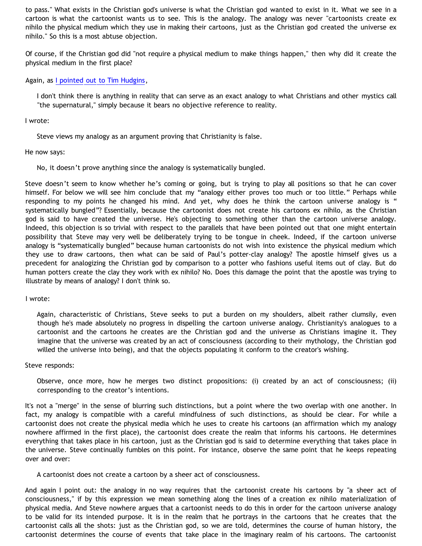to pass." What exists in the Christian god's universe is what the Christian god wanted to exist in it. What we see in a cartoon is what the cartoonist wants us to see. This is the analogy. The analogy was never "cartoonists create ex nihilo the physical medium which they use in making their cartoons, just as the Christian god created the universe ex nihilo." So this is a most abtuse objection.

Of course, if the Christian god did "not require a physical medium to make things happen," then why did it create the physical medium in the first place?

Again, as [I pointed out to Tim Hudgins](http://bahnsenburner.blogspot.com/2005/04/omnipotence-and-sovereignty-in-cartoon.html),

I don't think there is anything in reality that can serve as an exact analogy to what Christians and other mystics call "the supernatural," simply because it bears no objective reference to reality.

I wrote:

Steve views my analogy as an argument proving that Christianity is false.

He now says:

No, it doesn't prove anything since the analogy is systematically bungled.

Steve doesn't seem to know whether he's coming or going, but is trying to play all positions so that he can cover himself. For below we will see him conclude that my "analogy either proves too much or too little." Perhaps while responding to my points he changed his mind. And yet, why does he think the cartoon universe analogy is " systematically bungled"? Essentially, because the cartoonist does not create his cartoons ex nihilo, as the Christian god is said to have created the universe. He's objecting to something other than the cartoon universe analogy. Indeed, this objection is so trivial with respect to the parallels that have been pointed out that one might entertain possibility that Steve may very well be deliberately trying to be tongue in cheek. Indeed, if the cartoon universe analogy is "systematically bungled" because human cartoonists do not wish into existence the physical medium which they use to draw cartoons, then what can be said of Paul's potter-clay analogy? The apostle himself gives us a precedent for analogizing the Christian god by comparison to a potter who fashions useful items out of clay. But do human potters create the clay they work with ex nihilo? No. Does this damage the point that the apostle was trying to illustrate by means of analogy? I don't think so.

I wrote:

Again, characteristic of Christians, Steve seeks to put a burden on my shoulders, albeit rather clumsily, even though he's made absolutely no progress in dispelling the cartoon universe analogy. Christianity's analogues to a cartoonist and the cartoons he creates are the Christian god and the universe as Christians imagine it. They imagine that the universe was created by an act of consciousness (according to their mythology, the Christian god willed the universe into being), and that the objects populating it conform to the creator's wishing.

Steve responds:

Observe, once more, how he merges two distinct propositions: (i) created by an act of consciousness; (ii) corresponding to the creator's intentions.

It's not a "merge" in the sense of blurring such distinctions, but a point where the two overlap with one another. In fact, my analogy is compatible with a careful mindfulness of such distinctions, as should be clear. For while a cartoonist does not create the physical media which he uses to create his cartoons (an affirmation which my analogy nowhere affirmed in the first place), the cartoonist does create the realm that informs his cartoons. He determines everything that takes place in his cartoon, just as the Christian god is said to determine everything that takes place in the universe. Steve continually fumbles on this point. For instance, observe the same point that he keeps repeating over and over:

A cartoonist does not create a cartoon by a sheer act of consciousness.

And again I point out: the analogy in no way requires that the cartoonist create his cartoons by "a sheer act of consciousness," if by this expression we mean something along the lines of a creation ex nihilo materialization of physical media. And Steve nowhere argues that a cartoonist needs to do this in order for the cartoon universe analogy to be valid for its intended purpose. It is in the realm that he portrays in the cartoons that he creates that the cartoonist calls all the shots: just as the Christian god, so we are told, determines the course of human history, the cartoonist determines the course of events that take place in the imaginary realm of his cartoons. The cartoonist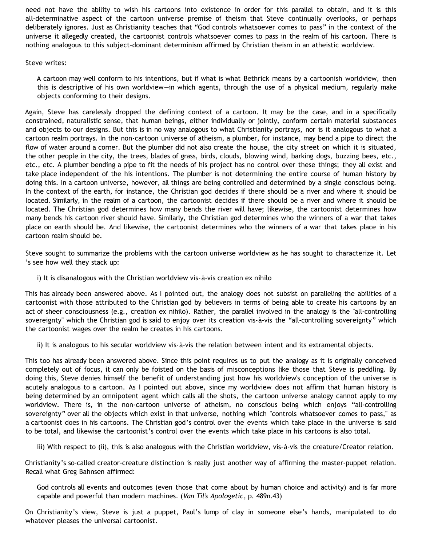need not have the ability to wish his cartoons into existence in order for this parallel to obtain, and it is this all-determinative aspect of the cartoon universe premise of theism that Steve continually overlooks, or perhaps deliberately ignores. Just as Christianity teaches that "God controls whatsoever comes to pass" in the context of the universe it allegedly created, the cartoonist controls whatsoever comes to pass in the realm of his cartoon. There is nothing analogous to this subject-dominant determinism affirmed by Christian theism in an atheistic worldview.

## Steve writes:

A cartoon may well conform to his intentions, but if what is what Bethrick means by a cartoonish worldview, then this is descriptive of his own worldview—in which agents, through the use of a physical medium, regularly make objects conforming to their designs.

Again, Steve has carelessly dropped the defining context of a cartoon. It may be the case, and in a specifically constrained, naturalistic sense, that human beings, either individually or jointly, conform certain material substances and objects to our designs. But this is in no way analogous to what Christianity portrays, nor is it analogous to what a cartoon realm portrays. In the non-cartoon universe of atheism, a plumber, for instance, may bend a pipe to direct the flow of water around a corner. But the plumber did not also create the house, the city street on which it is situated, the other people in the city, the trees, blades of grass, birds, clouds, blowing wind, barking dogs, buzzing bees, etc., etc., etc. A plumber bending a pipe to fit the needs of his project has no control over these things; they all exist and take place independent of the his intentions. The plumber is not determining the entire course of human history by doing this. In a cartoon universe, however, all things are being controlled and determined by a single conscious being. In the context of the earth, for instance, the Christian god decides if there should be a river and where it should be located. Similarly, in the realm of a cartoon, the cartoonist decides if there should be a river and where it should be located. The Christian god determines how many bends the river will have; likewise, the cartoonist determines how many bends his cartoon river should have. Similarly, the Christian god determines who the winners of a war that takes place on earth should be. And likewise, the cartoonist determines who the winners of a war that takes place in his cartoon realm should be.

Steve sought to summarize the problems with the cartoon universe worldview as he has sought to characterize it. Let 's see how well they stack up:

i) It is disanalogous with the Christian worldview vis-à-vis creation ex nihilo

This has already been answered above. As I pointed out, the analogy does not subsist on paralleling the abilities of a cartoonist with those attributed to the Christian god by believers in terms of being able to create his cartoons by an act of sheer consciousness (e.g., creation ex nihilo). Rather, the parallel involved in the analogy is the "all-controlling sovereignty" which the Christian god is said to enjoy over its creation vis-à-vis the "all-controlling sovereignty" which the cartoonist wages over the realm he creates in his cartoons.

ii) It is analogous to his secular worldview vis-à-vis the relation between intent and its extramental objects.

This too has already been answered above. Since this point requires us to put the analogy as it is originally conceived completely out of focus, it can only be foisted on the basis of misconceptions like those that Steve is peddling. By doing this, Steve denies himself the benefit of understanding just how his worldview's conception of the universe is acutely analogous to a cartoon. As I pointed out above, since my worldview does not affirm that human history is being determined by an omnipotent agent which calls all the shots, the cartoon universe analogy cannot apply to my worldview. There is, in the non-cartoon universe of atheism, no conscious being which enjoys "all-controlling sovereignty" over all the objects which exist in that universe, nothing which "controls whatsoever comes to pass," as a cartoonist does in his cartoons. The Christian god's control over the events which take place in the universe is said to be total, and likewise the cartoonist's control over the events which take place in his cartoons is also total.

iii) With respect to (ii), this is also analogous with the Christian worldview, vis-à-vis the creature/Creator relation.

Christianity's so-called creator-creature distinction is really just another way of affirming the master-puppet relation. Recall what Greg Bahnsen affirmed:

God controls all events and outcomes (even those that come about by human choice and activity) and is far more capable and powerful than modern machines. (*Van Til's Apologetic*, p. 489n.43)

On Christianity's view, Steve is just a puppet, Paul's lump of clay in someone else's hands, manipulated to do whatever pleases the universal cartoonist.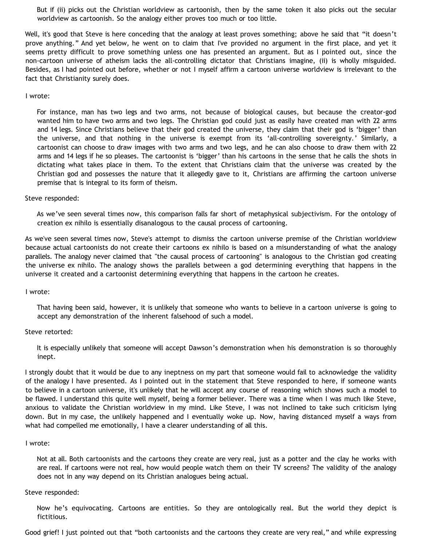But if (ii) picks out the Christian worldview as cartoonish, then by the same token it also picks out the secular worldview as cartoonish. So the analogy either proves too much or too little.

Well, it's good that Steve is here conceding that the analogy at least proves something; above he said that "it doesn't prove anything." And yet below, he went on to claim that I've provided no argument in the first place, and yet it seems pretty difficult to prove something unless one has presented an argument. But as I pointed out, since the non-cartoon universe of atheism lacks the all-controlling dictator that Christians imagine, (ii) is wholly misguided. Besides, as I had pointed out before, whether or not I myself affirm a cartoon universe worldview is irrelevant to the fact that Christianity surely does.

### I wrote:

For instance, man has two legs and two arms, not because of biological causes, but because the creator-god wanted him to have two arms and two legs. The Christian god could just as easily have created man with 22 arms and 14 legs. Since Christians believe that their god created the universe, they claim that their god is 'bigger' than the universe, and that nothing in the universe is exempt from its 'all-controlling sovereignty.' Similarly, a cartoonist can choose to draw images with two arms and two legs, and he can also choose to draw them with 22 arms and 14 legs if he so pleases. The cartoonist is 'bigger' than his cartoons in the sense that he calls the shots in dictating what takes place in them. To the extent that Christians claim that the universe was created by the Christian god and possesses the nature that it allegedly gave to it, Christians are affirming the cartoon universe premise that is integral to its form of theism.

### Steve responded:

As we've seen several times now, this comparison falls far short of metaphysical subjectivism. For the ontology of creation ex nihilo is essentially disanalogous to the causal process of cartooning.

As we've seen several times now, Steve's attempt to dismiss the cartoon universe premise of the Christian worldview because actual cartoonists do not create their cartoons ex nihilo is based on a misunderstanding of what the analogy parallels. The analogy never claimed that "the causal process of cartooning" is analogous to the Christian god creating the universe ex nihilo. The analogy shows the parallels between a god determining everything that happens in the universe it created and a cartoonist determining everything that happens in the cartoon he creates.

### I wrote:

That having been said, however, it is unlikely that someone who wants to believe in a cartoon universe is going to accept any demonstration of the inherent falsehood of such a model.

### Steve retorted:

It is especially unlikely that someone will accept Dawson's demonstration when his demonstration is so thoroughly inept.

I strongly doubt that it would be due to any ineptness on my part that someone would fail to acknowledge the validity of the analogy I have presented. As I pointed out in the statement that Steve responded to here, if someone wants to believe in a cartoon universe, it's unlikely that he will accept any course of reasoning which shows such a model to be flawed. I understand this quite well myself, being a former believer. There was a time when I was much like Steve, anxious to validate the Christian worldview in my mind. Like Steve, I was not inclined to take such criticism lying down. But in my case, the unlikely happened and I eventually woke up. Now, having distanced myself a ways from what had compelled me emotionally, I have a clearer understanding of all this.

### I wrote:

Not at all. Both cartoonists and the cartoons they create are very real, just as a potter and the clay he works with are real. If cartoons were not real, how would people watch them on their TV screens? The validity of the analogy does not in any way depend on its Christian analogues being actual.

#### Steve responded:

Now he's equivocating. Cartoons are entities. So they are ontologically real. But the world they depict is fictitious.

Good grief! I just pointed out that "both cartoonists and the cartoons they create are very real," and while expressing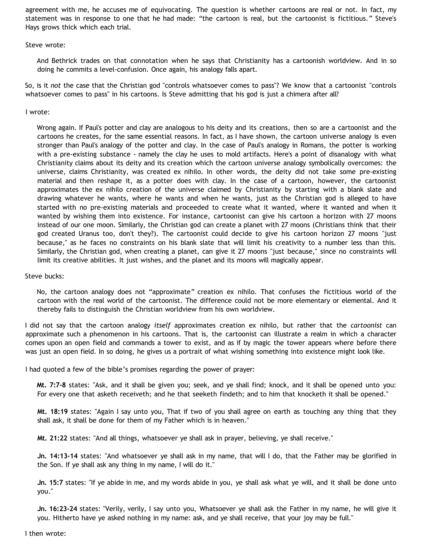agreement with me, he accuses me of equivocating. The question is whether cartoons are real or not. In fact, my statement was in response to one that he had made: "the cartoon is real, but the cartoonist is fictitious." Steve's Hays grows thick which each trial.

Steve wrote:

And Bethrick trades on that connotation when he says that Christianity has a cartoonish worldview. And in so doing he commits a level-confusion. Once again, his analogy falls apart.

So, is it *not* the case that the Christian god "controls whatsoever comes to pass"? We know that a cartoonist "controls whatsoever comes to pass" in his cartoons. Is Steve admitting that his god is just a chimera after all?

I wrote:

Wrong again. If Paul's potter and clay are analogous to his deity and its creations, then so are a cartoonist and the cartoons he creates, for the same essential reasons. In fact, as I have shown, the cartoon universe analogy is even stronger than Paul's analogy of the potter and clay. In the case of Paul's analogy in Romans, the potter is working with a pre-existing substance - namely the clay he uses to mold artifacts. Here's a point of disanalogy with what Christianity claims about its deity and its creation which the cartoon universe analogy symbolically overcomes: the universe, claims Christianity, was created ex nihilo. In other words, the deity did not take some pre-existing material and then reshape it, as a potter does with clay. In the case of a cartoon, however, the cartoonist approximates the ex nihilo creation of the universe claimed by Christianity by starting with a blank slate and drawing whatever he wants, where he wants and when he wants, just as the Christian god is alleged to have started with no pre-existing materials and proceeded to create what it wanted, where it wanted and when it wanted by wishing them into existence. For instance, cartoonist can give his cartoon a horizon with 27 moons instead of our one moon. Similarly, the Christian god can create a planet with 27 moons (Christians think that their god created Uranus too, don't they?). The cartoonist could decide to give his cartoon horizon 27 moons "just because," as he faces no constraints on his blank slate that will limit his creativity to a number less than this. Similarly, the Christian god, when creating a planet, can give it 27 moons "just because," since no constraints will limit its creative abilities. It just wishes, and the planet and its moons will magically appear.

Steve bucks:

No, the cartoon analogy does not "approximate" creation ex nihilo. That confuses the fictitious world of the cartoon with the real world of the cartoonist. The difference could not be more elementary or elemental. And it thereby fails to distinguish the Christian worldview from his own worldview.

I did not say that the cartoon analogy *itself* approximates creation ex nihilo, but rather that the *cartoonist* can approximate such a phenomenon in his cartoons. That is, the cartoonist can illustrate a realm in which a character comes upon an open field and commands a tower to exist, and as if by magic the tower appears where before there was just an open field. In so doing, he gives us a portrait of what wishing something into existence might look like.

I had quoted a few of the bible's promises regarding the power of prayer:

**Mt. 7:7-8** states: "Ask, and it shall be given you; seek, and ye shall find; knock, and it shall be opened unto you: For every one that asketh receiveth; and he that seeketh findeth; and to him that knocketh it shall be opened."

**Mt. 18:19** states: "Again I say unto you, That if two of you shall agree on earth as touching any thing that they shall ask, it shall be done for them of my Father which is in heaven."

**Mt. 21:22** states: "And all things, whatsoever ye shall ask in prayer, believing, ye shall receive."

**Jn. 14:13-14** states: "And whatsoever ye shall ask in my name, that will I do, that the Father may be glorified in the Son. If ye shall ask any thing in my name, I will do it."

**Jn. 15:7** states: "If ye abide in me, and my words abide in you, ye shall ask what ye will, and it shall be done unto you."

**Jn. 16:23-24** states: "Verily, verily, I say unto you, Whatsoever ye shall ask the Father in my name, he will give it you. Hitherto have ye asked nothing in my name: ask, and ye shall receive, that your joy may be full."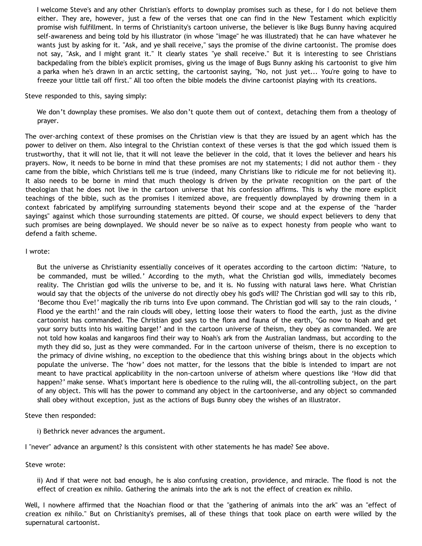I welcome Steve's and any other Christian's efforts to downplay promises such as these, for I do not believe them either. They are, however, just a few of the verses that one can find in the New Testament which explicitly promise wish fulfillment. In terms of Christianity's cartoon universe, the believer is like Bugs Bunny having acquired self-awareness and being told by his illustrator (in whose "image" he was illustrated) that he can have whatever he wants just by asking for it. "Ask, and ye shall receive," says the promise of the divine cartoonist. The promise does not say, "Ask, and I might grant it." It clearly states "ye shall receive." But it is interesting to see Christians backpedaling from the bible's explicit promises, giving us the image of Bugs Bunny asking his cartoonist to give him a parka when he's drawn in an arctic setting, the cartoonist saying, "No, not just yet... You're going to have to freeze your little tail off first." All too often the bible models the divine cartoonist playing with its creations.

Steve responded to this, saying simply:

We don't downplay these promises. We also don't quote them out of context, detaching them from a theology of prayer.

The over-arching context of these promises on the Christian view is that they are issued by an agent which has the power to deliver on them. Also integral to the Christian context of these verses is that the god which issued them is trustworthy, that it will not lie, that it will not leave the believer in the cold, that it loves the believer and hears his prayers. Now, it needs to be borne in mind that these promises are not my statements; I did not author them - they came from the bible, which Christians tell me is true (indeed, many Christians like to ridicule me for not believing it). It also needs to be borne in mind that much theology is driven by the private recognition on the part of the theologian that he does not live in the cartoon universe that his confession affirms. This is why the more explicit teachings of the bible, such as the promises I itemized above, are frequently downplayed by drowning them in a context fabricated by amplifying surrounding statements beyond their scope and at the expense of the "harder sayings" against which those surrounding statements are pitted. Of course, we should expect believers to deny that such promises are being downplayed. We should never be so naïve as to expect honesty from people who want to defend a faith scheme.

#### I wrote:

But the universe as Christianity essentially conceives of it operates according to the cartoon dictim: 'Nature, to be commanded, must be willed.' According to the myth, what the Christian god wills, immediately becomes reality. The Christian god wills the universe to be, and it is. No fussing with natural laws here. What Christian would say that the objects of the universe do not directly obey his god's will? The Christian god will say to this rib, 'Become thou Eve!' magically the rib turns into Eve upon command. The Christian god will say to the rain clouds, ' Flood ye the earth!' and the rain clouds will obey, letting loose their waters to flood the earth, just as the divine cartoonist has commanded. The Christian god says to the flora and fauna of the earth, 'Go now to Noah and get your sorry butts into his waiting barge!' and in the cartoon universe of theism, they obey as commanded. We are not told how koalas and kangaroos find their way to Noah's ark from the Australian landmass, but according to the myth they did so, just as they were commanded. For in the cartoon universe of theism, there is no exception to the primacy of divine wishing, no exception to the obedience that this wishing brings about in the objects which populate the universe. The 'how' does not matter, for the lessons that the bible is intended to impart are not meant to have practical applicability in the non-cartoon universe of atheism where questions like 'How did that happen?' make sense. What's important here is obedience to the ruling will, the all-controlling subject, on the part of any object. This will has the power to command any object in the cartooniverse, and any object so commanded shall obey without exception, just as the actions of Bugs Bunny obey the wishes of an illustrator.

Steve then responded:

i) Bethrick never advances the argument.

I "never" advance an argument? Is this consistent with other statements he has made? See above.

Steve wrote:

ii) And if that were not bad enough, he is also confusing creation, providence, and miracle. The flood is not the effect of creation ex nihilo. Gathering the animals into the ark is not the effect of creation ex nihilo.

Well, I nowhere affirmed that the Noachian flood or that the "gathering of animals into the ark" was an "effect of creation ex nihilo." But on Christianity's premises, all of these things that took place on earth were willed by the supernatural cartoonist.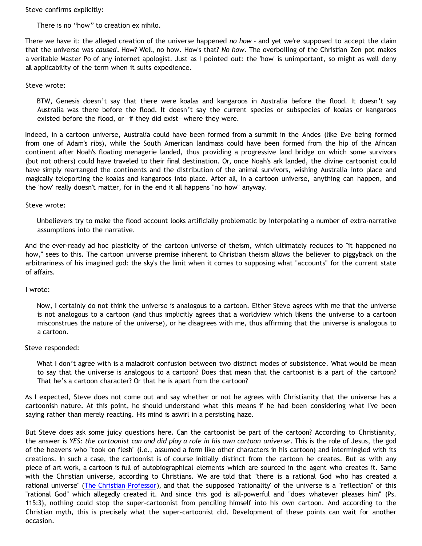Steve confirms explicitly:

There is no "how" to creation ex nihilo.

There we have it: the alleged creation of the universe happened *no how* - and yet we're supposed to accept the claim that the universe was *caused*. How? Well, no how. How's that? *No how*. The overboiling of the Christian Zen pot makes a veritable Master Po of any internet apologist. Just as I pointed out: the 'how' is unimportant, so might as well deny all applicability of the term when it suits expedience.

### Steve wrote:

BTW, Genesis doesn't say that there were koalas and kangaroos in Australia before the flood. It doesn't say Australia was there before the flood. It doesn't say the current species or subspecies of koalas or kangaroos existed before the flood, or—if they did exist—where they were.

Indeed, in a cartoon universe, Australia could have been formed from a summit in the Andes (like Eve being formed from one of Adam's ribs), while the South American landmass could have been formed from the hip of the African continent after Noah's floating menagerie landed, thus providing a progressive land bridge on which some survivors (but not others) could have traveled to their final destination. Or, once Noah's ark landed, the divine cartoonist could have simply rearranged the continents and the distribution of the animal survivors, wishing Australia into place and magically teleporting the koalas and kangaroos into place. After all, in a cartoon universe, anything can happen, and the 'how' really doesn't matter, for in the end it all happens "no how" anyway.

### Steve wrote:

Unbelievers try to make the flood account looks artificially problematic by interpolating a number of extra-narrative assumptions into the narrative.

And the ever-ready ad hoc plasticity of the cartoon universe of theism, which ultimately reduces to "it happened no how," sees to this. The cartoon universe premise inherent to Christian theism allows the believer to piggyback on the arbitrariness of his imagined god: the sky's the limit when it comes to supposing what "accounts" for the current state of affairs.

### I wrote:

Now, I certainly do not think the universe is analogous to a cartoon. Either Steve agrees with me that the universe is not analogous to a cartoon (and thus implicitly agrees that a worldview which likens the universe to a cartoon misconstrues the nature of the universe), or he disagrees with me, thus affirming that the universe is analogous to a cartoon.

### Steve responded:

What I don't agree with is a maladroit confusion between two distinct modes of subsistence. What would be mean to say that the universe is analogous to a cartoon? Does that mean that the cartoonist is a part of the cartoon? That he's a cartoon character? Or that he is apart from the cartoon?

As I expected, Steve does not come out and say whether or not he agrees with Christianity that the universe has a cartoonish nature. At this point, he should understand what this means if he had been considering what I've been saying rather than merely reacting. His mind is aswirl in a persisting haze.

But Steve does ask some juicy questions here. Can the cartoonist be part of the cartoon? According to Christianity, the answer is *YES: the cartoonist can and did play a role in his own cartoon universe*. This is the role of Jesus, the god of the heavens who "took on flesh" (i.e., assumed a form like other characters in his cartoon) and intermingled with its creations. In such a case, the cartoonist is of course initially distinct from the cartoon he creates. But as with any piece of art work, a cartoon is full of autobiographical elements which are sourced in the agent who creates it. Same with the Christian universe, according to Christians. We are told that "there is a rational God who has created a rational universe" ([The Christian Professor](http://www.facultylinc.com/growth/ChristianProf.nsf/f38cb5f69435390f862569a4007c45fd/f95ecfca04dff741862569ea007e520a?OpenDocument)), and that the supposed 'rationality' of the universe is a "reflection" of this "rational God" which allegedly created it. And since this god is all-powerful and "does whatever pleases him" (Ps. 115:3), nothing could stop the super-cartoonist from penciling himself into his own cartoon. And according to the Christian myth, this is precisely what the super-cartoonist did. Development of these points can wait for another occasion.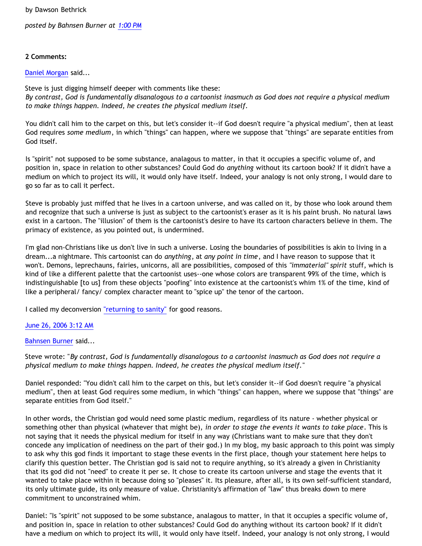by Dawson Bethrick

*posted by Bahnsen Burner at [1:00 PM](http://bahnsenburner.blogspot.com/2006/06/steves-persisting-haysiness.html)*

# **2 Comments:**

## [Daniel Morgan](http://www.blogger.com/profile/15150803) said...

Steve is just digging himself deeper with comments like these: *By contrast, God is fundamentally disanalogous to a cartoonist inasmuch as God does not require a physical medium to make things happen. Indeed, he creates the physical medium itself.*

You didn't call him to the carpet on this, but let's consider it--if God doesn't require "a physical medium", then at least God requires *some medium*, in which "things" can happen, where we suppose that "things" are separate entities from God itself.

Is "spirit" not supposed to be some substance, analagous to matter, in that it occupies a specific volume of, and position in, space in relation to other substances? Could God do *anything* without its cartoon book? If it didn't have a medium on which to project its will, it would only have itself. Indeed, your analogy is not only strong, I would dare to go so far as to call it perfect.

Steve is probably just miffed that he lives in a cartoon universe, and was called on it, by those who look around them and recognize that such a universe is just as subject to the cartoonist's eraser as it is his paint brush. No natural laws exist in a cartoon. The "illusion" of them is the cartoonist's desire to have its cartoon characters believe in them. The primacy of existence, as you pointed out, is undermined.

I'm glad non-Christians like us don't live in such a universe. Losing the boundaries of possibilities is akin to living in a dream...a nightmare. This cartoonist can do *anything*, at *any point in time*, and I have reason to suppose that it won't. Demons, leprechauns, fairies, unicorns, all are possibilities, composed of this *"immaterial" spirit* stuff, which is kind of like a different palette that the cartoonist uses--one whose colors are transparent 99% of the time, which is indistinguishable [to us] from these objects "poofing" into existence at the cartoonist's whim 1% of the time, kind of like a peripheral/ fancy/ complex character meant to "spice up" the tenor of the cartoon.

I called my deconversion ["returning to sanity"](http://www.exchristian.net/testimonies/2006/02/returning-to-sanity.html) for good reasons.

### [June 26, 2006 3:12 AM](http://bahnsenburner.blogspot.com/2006/06/115131675452193625)

# [Bahnsen Burner](http://www.blogger.com/profile/7766918) said...

Steve wrote: "*By contrast, God is fundamentally disanalogous to a cartoonist inasmuch as God does not require a physical medium to make things happen. Indeed, he creates the physical medium itself.*"

Daniel responded: "You didn't call him to the carpet on this, but let's consider it--if God doesn't require "a physical medium", then at least God requires some medium, in which "things" can happen, where we suppose that "things" are separate entities from God itself."

In other words, the Christian god would need some plastic medium, regardless of its nature - whether physical or something other than physical (whatever that might be), *in order to stage the events it wants to take place*. This is not saying that it needs the physical medium for itself in any way (Christians want to make sure that they don't concede any implication of neediness on the part of their god.) In my blog, my basic approach to this point was simply to ask why this god finds it important to stage these events in the first place, though your statement here helps to clarify this question better. The Christian god is said not to require anything, so it's already a given in Christianity that its god did not "need" to create it per se. It chose to create its cartoon universe and stage the events that it wanted to take place within it because doing so "pleases" it. Its pleasure, after all, is its own self-sufficient standard, its only ultimate guide, its only measure of value. Christianity's affirmation of "law" thus breaks down to mere commitment to unconstrained whim.

Daniel: "Is "spirit" not supposed to be some substance, analagous to matter, in that it occupies a specific volume of, and position in, space in relation to other substances? Could God do anything without its cartoon book? If it didn't have a medium on which to project its will, it would only have itself. Indeed, your analogy is not only strong, I would